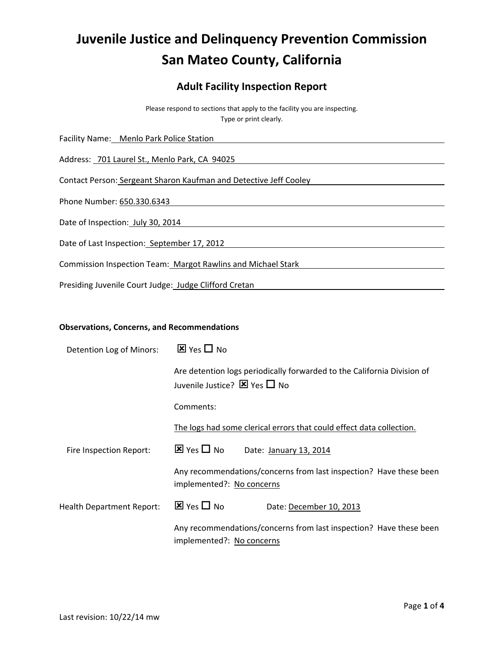# **Juvenile Justice and Delinquency Prevention Commission San Mateo County, California**

# **Adult Facility Inspection Report**

Please respond to sections that apply to the facility you are inspecting. Type or print clearly.

Facility Name: Menlo Park Police Station Address: 701 Laurel St., Menlo Park, CA 94025 Contact Person: Sergeant Sharon Kaufman and Detective Jeff Cooley Phone Number: 650.330.6343 Date of Inspection: July 30, 2014 Date of Last Inspection: September 17, 2012 Commission Inspection Team: Margot Rawlins and Michael Stark Presiding Juvenile Court Judge: Judge Clifford Cretan

## **Observations, Concerns, and Recommendations**

| Detention Log of Minors:         | $\boxtimes$ Yes $\square$ No                                                                                           |  |  |
|----------------------------------|------------------------------------------------------------------------------------------------------------------------|--|--|
|                                  | Are detention logs periodically forwarded to the California Division of<br>Juvenile Justice? $\boxtimes$ Yes $\Box$ No |  |  |
|                                  | Comments:                                                                                                              |  |  |
|                                  | The logs had some clerical errors that could effect data collection.                                                   |  |  |
| Fire Inspection Report:          | $\overline{\mathbf{x}}$ Yes $\Box$ No<br>Date: January 13, 2014                                                        |  |  |
|                                  | Any recommendations/concerns from last inspection? Have these been<br>implemented?: No concerns                        |  |  |
| <b>Health Department Report:</b> | $\overline{\mathbf{x}}$ Yes $\Box$ No<br>Date: December 10, 2013                                                       |  |  |
|                                  | Any recommendations/concerns from last inspection? Have these been<br>implemented?: No concerns                        |  |  |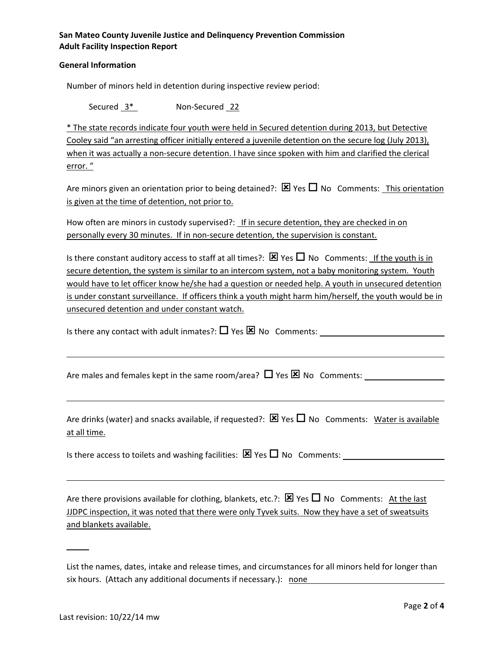## **San Mateo County Juvenile Justice and Delinquency Prevention Commission Adult Facility Inspection Report**

#### **General Information**

Number of minors held in detention during inspective review period:

Secured 3\* Non-Secured 22

\* The state records indicate four youth were held in Secured detention during 2013, but Detective Cooley said "an arresting officer initially entered a juvenile detention on the secure log (July 2013), when it was actually a non-secure detention. I have since spoken with him and clarified the clerical error. "

Are minors given an orientation prior to being detained?:  $\boxtimes$  Yes  $\Box$  No Comments: This orientation is given at the time of detention, not prior to.

How often are minors in custody supervised?: If in secure detention, they are checked in on personally every 30 minutes. If in non-secure detention, the supervision is constant.

Is there constant auditory access to staff at all times?:  $\boxtimes$  Yes  $\Box$  No Comments: If the youth is in secure detention, the system is similar to an intercom system, not a baby monitoring system. Youth would have to let officer know he/she had a question or needed help. A youth in unsecured detention is under constant surveillance. If officers think a youth might harm him/herself, the youth would be in unsecured detention and under constant watch.

Is there any contact with adult inmates?:  $\Box$  Yes  $\boxtimes$  No Comments:

Are males and females kept in the same room/area?  $\Box$  Yes  $\boxtimes$  No Comments:

Are drinks (water) and snacks available, if requested?:  $\boxtimes$  Yes  $\Box$  No Comments: Water is available at all time.

Is there access to toilets and washing facilities:  $\boxtimes$  Yes  $\Box$  No Comments:

Are there provisions available for clothing, blankets, etc.?:  $\boxtimes$  Yes  $\Box$  No Comments: At the last JJDPC inspection, it was noted that there were only Tyvek suits. Now they have a set of sweatsuits and blankets available.

List the names, dates, intake and release times, and circumstances for all minors held for longer than six hours. (Attach any additional documents if necessary.): none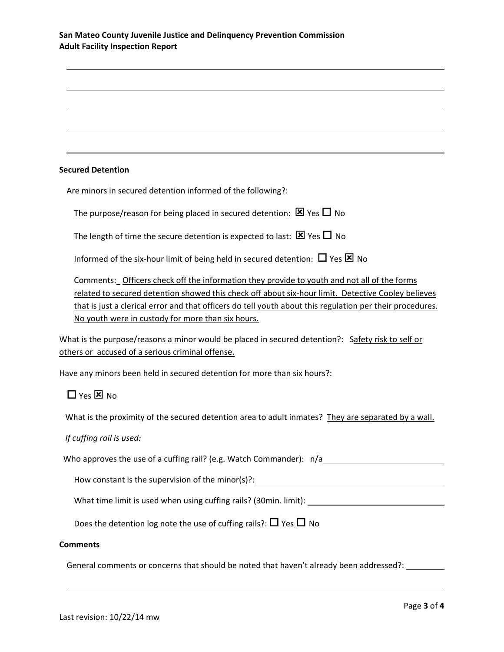## **San Mateo County Juvenile Justice and Delinquency Prevention Commission Adult Facility Inspection Report**

#### **Secured Detention**

Are minors in secured detention informed of the following?:

The purpose/reason for being placed in secured detention:  $\boxtimes$  Yes  $\Box$  No

The length of time the secure detention is expected to last:  $\boxtimes$  Yes  $\Box$  No

Informed of the six-hour limit of being held in secured detention:  $\Box$  Yes  $\boxtimes$  No

Comments: Officers check off the information they provide to youth and not all of the forms related to secured detention showed this check off about six‐hour limit. Detective Cooley believes that is just a clerical error and that officers do tell youth about this regulation per their procedures. No youth were in custody for more than six hours.

What is the purpose/reasons a minor would be placed in secured detention?: Safety risk to self or others or accused of a serious criminal offense.

Have any minors been held in secured detention for more than six hours?:

# $\Box$  Yes  $\boxtimes$  No

What is the proximity of the secured detention area to adult inmates? They are separated by a wall.

#### *If cuffing rail is used:*

| Who approves the use of a cuffing rail? (e.g. Watch Commander): n/a |  |
|---------------------------------------------------------------------|--|
|                                                                     |  |
|                                                                     |  |

How constant is the supervision of the minor(s)?: \_\_\_\_\_\_\_\_\_\_\_\_\_\_\_\_\_\_\_\_\_\_\_\_\_\_\_\_\_\_

What time limit is used when using cuffing rails? (30min. limit): \_\_\_\_\_\_\_\_\_\_\_\_\_\_

Does the detention log note the use of cuffing rails?:  $\Box$  Yes  $\Box$  No

#### **Comments**

General comments or concerns that should be noted that haven't already been addressed?: